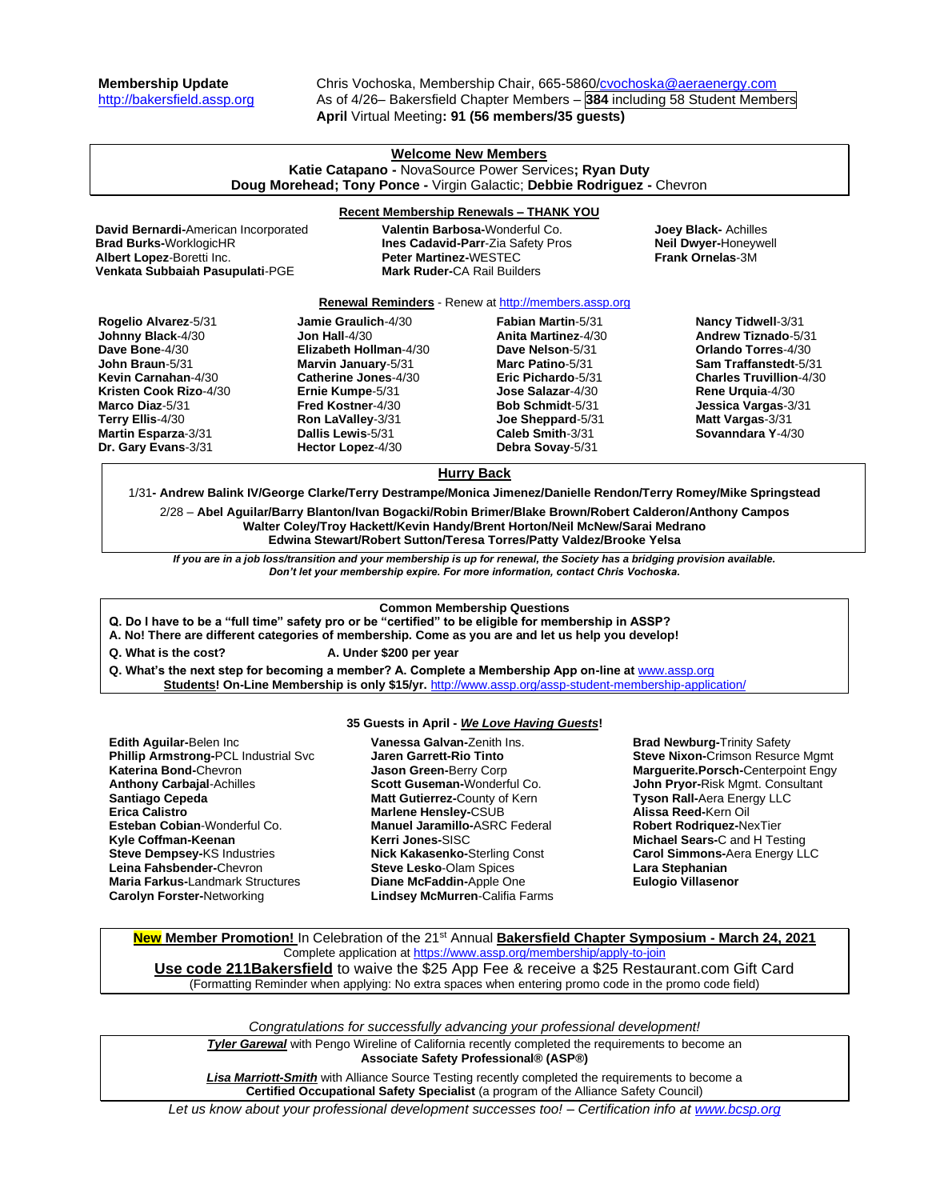**Membership Update** Chris Vochoska, Membership Chair, 665-5860[/cvochoska@aeraenergy.com](mailto:cvochoska@aeraenergy.com) [http://bakersfield.assp.org](http://bakersfield.assp.org/) As of 4/26– Bakersfield Chapter Members – **384** including 58 Student Members **April** Virtual Meeting**: 91 (56 members/35 guests)**

# **Welcome New Members Katie Catapano -** NovaSource Power Services**; Ryan Duty Doug Morehead; Tony Ponce -** Virgin Galactic; **Debbie Rodriguez -** Chevron

### **Recent Membership Renewals – THANK YOU**

**Brad Burks-**WorklogicHR **Ines Cadavid-Parr**-Zia Safety Pros **Neil Dwyer-**Honeywell **Venkata Subbaiah Pasupulati**-PGE **Mark Ruder-**CA Rail Builders

**David Bernardi-**American Incorporated **Valentin Barbosa-**Wonderful Co. **Joey Black-** Achilles **Peter Martinez-WESTEC** 

### **Renewal Reminders** - Renew a[t http://members.assp.org](http://members.assp.org/)

| Rogelio Alvarez-5/31       | Jamie Graulich-4/30      | <b>Fabian Martin-5/31</b>  | <b>Nancy Tidwell-3/31</b>      |
|----------------------------|--------------------------|----------------------------|--------------------------------|
| Johnny Black-4/30          | <b>Jon Hall-4/30</b>     | <b>Anita Martinez-4/30</b> | Andrew Tiznado-5/31            |
| Dave Bone-4/30             | Elizabeth Hollman-4/30   | Dave Nelson-5/31           | <b>Orlando Torres-4/30</b>     |
| John Braun-5/31            | Marvin January-5/31      | Marc Patino-5/31           | <b>Sam Traffanstedt-5/31</b>   |
| Kevin Carnahan-4/30        | Catherine Jones-4/30     | Eric Pichardo-5/31         | <b>Charles Truvillion-4/30</b> |
| Kristen Cook Rizo-4/30     | Ernie Kumpe-5/31         | Jose Salazar-4/30          | Rene Urguia-4/30               |
| <b>Marco Diaz-5/31</b>     | <b>Fred Kostner-4/30</b> | Bob Schmidt-5/31           | Jessica Vargas-3/31            |
| Terry Ellis-4/30           | Ron LaValley-3/31        | Joe Sheppard-5/31          | Matt Vargas-3/31               |
| <b>Martin Esparza-3/31</b> | Dallis Lewis-5/31        | Caleb Smith-3/31           | Sovanndara Y-4/30              |
| Dr. Gary Evans-3/31        | Hector Lopez-4/30        | Debra Sovay-5/31           |                                |
|                            |                          |                            |                                |

# **Hurry Back**

1/31**- Andrew Balink IV/George Clarke/Terry Destrampe/Monica Jimenez/Danielle Rendon/Terry Romey/Mike Springstead**

2/28 – **Abel Aguilar/Barry Blanton/Ivan Bogacki/Robin Brimer/Blake Brown/Robert Calderon/Anthony Campos Walter Coley/Troy Hackett/Kevin Handy/Brent Horton/Neil McNew/Sarai Medrano Edwina Stewart/Robert Sutton/Teresa Torres/Patty Valdez/Brooke Yelsa**

*If you are in a job loss/transition and your membership is up for renewal, the Society has a bridging provision available. Don't let your membership expire. For more information, contact Chris Vochoska.* 

### **Common Membership Questions**

**Q. Do I have to be a "full time" safety pro or be "certified" to be eligible for membership in ASSP?** 

**A. No! There are different categories of membership. Come as you are and let us help you develop!** 

**Q. What is the cost? A. Under \$200 per year**

**Q. What's the next step for becoming a member? A. Complete a Membership App on-line at** [www.assp.org](http://www.assp.org/) **Students! On-Line Membership is only \$15/yr.** <http://www.assp.org/assp-student-membership-application/>

# **35 Guests in April -** *We Love Having Guests***!**

**Edith Aguilar-**Belen Inc **Phillip Armstrong-**PCL Industrial Svc **Katerina Bond-**Chevron **Anthony Carbajal**-Achilles **Santiago Cepeda Erica Calistro Esteban Cobian**-Wonderful Co. **Kyle Coffman-Keenan Steve Dempsey-**KS Industries **Leina Fahsbender-**Chevron **Maria Farkus-**Landmark Structures **Carolyn Forster-**Networking

**Vanessa Galvan-**Zenith Ins. **Jaren Garrett-Rio Tinto Jason Green-**Berry Corp **Scott Guseman-**Wonderful Co. **Matt Gutierrez-**County of Kern **Marlene Hensley-**CSUB **Manuel Jaramillo-**ASRC Federal **Kerri Jones-**SISC **Nick Kakasenko-**Sterling Const **Steve Lesko**-Olam Spices **Diane McFaddin-**Apple One **Lindsey McMurren**-Califia Farms

**Brad Newburg-**Trinity Safety **Steve Nixon-**Crimson Resurce Mgmt **Marguerite.Porsch-**Centerpoint Engy **John Pryor-**Risk Mgmt. Consultant **Tyson Rall-**Aera Energy LLC **Alissa Reed-**Kern Oil **Robert Rodriquez-**NexTier **Michael Sears-**C and H Testing **Carol Simmons-**Aera Energy LLC **Lara Stephanian Eulogio Villasenor**

**New Member Promotion!** In Celebration of the 21st Annual **Bakersfield Chapter Symposium - March 24, 2021** Complete application at<https://www.assp.org/membership/apply-to-join> **Use code 211Bakersfield** to waive the \$25 App Fee & receive a \$25 Restaurant.com Gift Card (Formatting Reminder when applying: No extra spaces when entering promo code in the promo code field)

*Congratulations for successfully advancing your professional development!*

**Tyler Garewal** with Pengo Wireline of California recently completed the requirements to become an **Associate Safety Professional® (ASP®)**

*Lisa Marriott-Smith* with Alliance Source Testing recently completed the requirements to become a **Certified Occupational Safety Specialist** (a program of the Alliance Safety Council)

*Let us know about your professional development successes too! – Certification info a[t www.bcsp.org](http://www.bcsp.org/)*